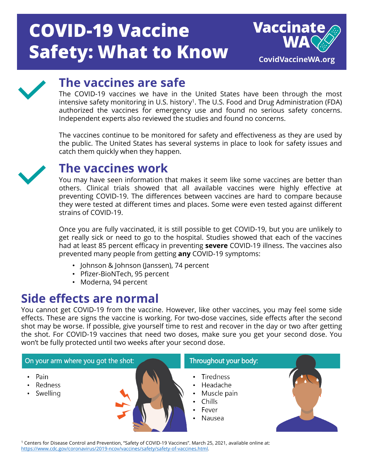# **COVID-19 Vaccine Safety: What to Know**





### **The vaccines are safe**

The COVID-19 vaccines we have in the United States have been through the most intensive safety monitoring in U.S. history<sup>1</sup>. The U.S. Food and Drug Administration (FDA) authorized the vaccines for emergency use and found no serious safety concerns. Independent experts also reviewed the studies and found no concerns.

The vaccines continue to be monitored for safety and effectiveness as they are used by the public. The United States has several systems in place to look for safety issues and catch them quickly when they happen.



# **The vaccines work**

You may have seen information that makes it seem like some vaccines are better than others. Clinical trials showed that all available vaccines were highly effective at preventing COVID-19. The differences between vaccines are hard to compare because they were tested at different times and places. Some were even tested against different strains of COVID-19.

Once you are fully vaccinated, it is still possible to get COVID-19, but you are unlikely to get really sick or need to go to the hospital. Studies showed that each of the vaccines had at least 85 percent efficacy in preventing **severe** COVID-19 illness. The vaccines also prevented many people from getting **any** COVID-19 symptoms:

- Johnson & Johnson (Janssen), 74 percent
- Pfizer-BioNTech, 95 percent
- Moderna, 94 percent

# **Side effects are normal**

You cannot get COVID-19 from the vaccine. However, like other vaccines, you may feel some side effects. These are signs the vaccine is working. For two-dose vaccines, side effects after the second shot may be worse. If possible, give yourself time to rest and recover in the day or two after getting the shot. For COVID-19 vaccines that need two doses, make sure you get your second dose. You won't be fully protected until two weeks after your second dose.



<sup>1</sup> Centers for Disease Control and Prevention, "Safety of COVID-19 Vaccines". March 25, 2021, available online at: [https://www.cdc.gov/coronavirus/2019-ncov/vaccines/safety/safety-of-vaccines.html.](https://www.cdc.gov/coronavirus/2019-ncov/vaccines/safety/safety-of-vaccines.html)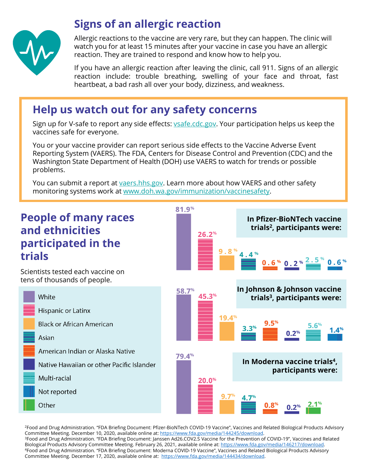

### **Signs of an allergic reaction**

Allergic reactions to the vaccine are very rare, but they can happen. The clinic will watch you for at least 15 minutes after your vaccine in case you have an allergic reaction. They are trained to respond and know how to help you.

If you have an allergic reaction after leaving the clinic, call 911. Signs of an allergic reaction include: trouble breathing, swelling of your face and throat, fast heartbeat, a bad rash all over your body, dizziness, and weakness.

### **Help us watch out for any safety concerns**

Sign up for V-safe to report any side effects: *vsafe.cdc.gov*. Your participation helps us keep the vaccines safe for everyone.

You or your vaccine provider can report serious side effects to the Vaccine Adverse Event Reporting System (VAERS). The FDA, Centers for Disease Control and Prevention (CDC) and the Washington State Department of Health (DOH) use VAERS to watch for trends or possible problems.

You can submit a report at [vaers.hhs.gov.](https://vaers.hhs.gov/) Learn more about how VAERS and other safety monitoring systems work at [www.doh.wa.gov/immunization/vaccinesafety](http://www.doh.wa.gov/immunization/vaccinesafety).



<sup>2</sup>Food and Drug Administration. "FDA Briefing Document: Pfizer-BioNTech COVID-19 Vaccine", Vaccines and Related Biological Products Advisory<br>Committee Meeting. December 10, 2020, available online at: https://www.fda.gov/m <sup>3</sup>Food and Drug Administration. "FDA Briefing Document: Janssen Ad26.COV2.S Vaccine for the Prevention of COVID-19", Vaccines and Related Biological Products Advisory Committee Meeting. February 26, 2021, available online at:<https://www.fda.gov/media/146217/download>.<br>4Food and Drug Administration. "FDA Briefing Document: Moderna COVID-19 Vaccine", Vaccines Committee Meeting. December 17, 2020, available online at: [https://www.fda.gov/media/144434/download.](https://www.fda.gov/media/144434/download)